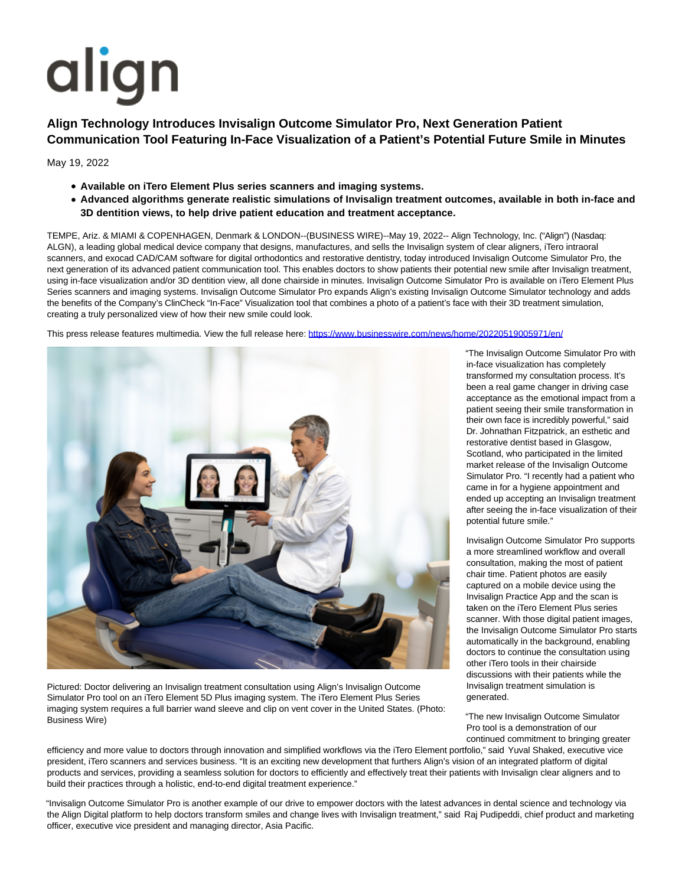## align

## **Align Technology Introduces Invisalign Outcome Simulator Pro, Next Generation Patient Communication Tool Featuring In-Face Visualization of a Patient's Potential Future Smile in Minutes**

May 19, 2022

- **Available on iTero Element Plus series scanners and imaging systems.**
- **Advanced algorithms generate realistic simulations of Invisalign treatment outcomes, available in both in-face and 3D dentition views, to help drive patient education and treatment acceptance.**

TEMPE, Ariz. & MIAMI & COPENHAGEN, Denmark & LONDON--(BUSINESS WIRE)--May 19, 2022-- Align Technology, Inc. ("Align") (Nasdaq: ALGN), a leading global medical device company that designs, manufactures, and sells the Invisalign system of clear aligners, iTero intraoral scanners, and exocad CAD/CAM software for digital orthodontics and restorative dentistry, today introduced Invisalign Outcome Simulator Pro, the next generation of its advanced patient communication tool. This enables doctors to show patients their potential new smile after Invisalign treatment, using in-face visualization and/or 3D dentition view, all done chairside in minutes. Invisalign Outcome Simulator Pro is available on iTero Element Plus Series scanners and imaging systems. Invisalign Outcome Simulator Pro expands Align's existing Invisalign Outcome Simulator technology and adds the benefits of the Company's ClinCheck "In-Face" Visualization tool that combines a photo of a patient's face with their 3D treatment simulation, creating a truly personalized view of how their new smile could look.

This press release features multimedia. View the full release here:<https://www.businesswire.com/news/home/20220519005971/en/>



Pictured: Doctor delivering an Invisalign treatment consultation using Align's Invisalign Outcome Simulator Pro tool on an iTero Element 5D Plus imaging system. The iTero Element Plus Series imaging system requires a full barrier wand sleeve and clip on vent cover in the United States. (Photo: Business Wire)

"The Invisalign Outcome Simulator Pro with in-face visualization has completely transformed my consultation process. It's been a real game changer in driving case acceptance as the emotional impact from a patient seeing their smile transformation in their own face is incredibly powerful," said Dr. Johnathan Fitzpatrick, an esthetic and restorative dentist based in Glasgow, Scotland, who participated in the limited market release of the Invisalign Outcome Simulator Pro. "I recently had a patient who came in for a hygiene appointment and ended up accepting an Invisalign treatment after seeing the in-face visualization of their potential future smile."

Invisalign Outcome Simulator Pro supports a more streamlined workflow and overall consultation, making the most of patient chair time. Patient photos are easily captured on a mobile device using the Invisalign Practice App and the scan is taken on the iTero Element Plus series scanner. With those digital patient images, the Invisalign Outcome Simulator Pro starts automatically in the background, enabling doctors to continue the consultation using other iTero tools in their chairside discussions with their patients while the Invisalign treatment simulation is generated.

"The new Invisalign Outcome Simulator Pro tool is a demonstration of our continued commitment to bringing greater

efficiency and more value to doctors through innovation and simplified workflows via the iTero Element portfolio," said Yuval Shaked, executive vice president, iTero scanners and services business. "It is an exciting new development that furthers Align's vision of an integrated platform of digital products and services, providing a seamless solution for doctors to efficiently and effectively treat their patients with Invisalign clear aligners and to build their practices through a holistic, end-to-end digital treatment experience."

"Invisalign Outcome Simulator Pro is another example of our drive to empower doctors with the latest advances in dental science and technology via the Align Digital platform to help doctors transform smiles and change lives with Invisalign treatment," said Raj Pudipeddi, chief product and marketing officer, executive vice president and managing director, Asia Pacific.